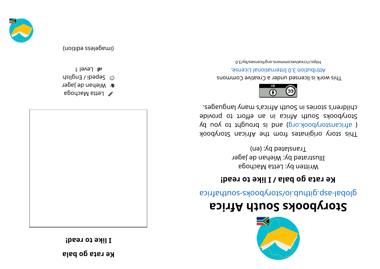**ke** rata go bala

**! daer ot ekil I**



- $\mathscr{C}$  Letta Machoga
- *a* Miehan de Jager
- depedi / English
- **1l Level 1**

(imageless edition)



## **storybooks South Africa**

aci ri re abological anti- signification signification in the substricted properties

### **1 be rata** go bala / **I** like to read!

Written by: Letta Machoga Illustrated by: Wiehan de Jager Translated by: (en)

This story originates from the African Storybook ( africanstorybook.org) and is brought to you by Storybooks South Africa in an effort to provide e segaugnal yn acios ar seind yn sei cos achli e s



This work is licensed under a Creative Commons . esnecial lanoit and the change.

bttps://creativecommons.org/licenses/by/3.0

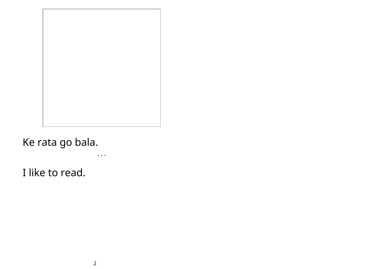• • •

Ke rata go bala.

I like to read.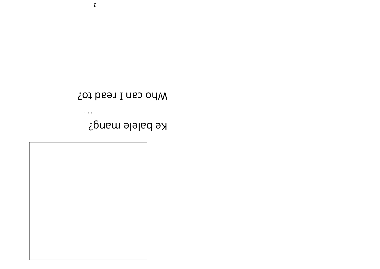

 $\bullet$   $\bullet$   $\bullet$ 

# Ke balele mang?

## Mho can I read to?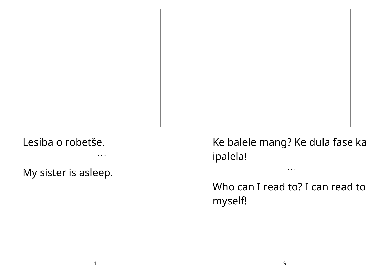

• • •

My sister is asleep.



Ke balele mang? Ke dula fase ka ipalela!

• • •

Who can I read to? I can read to myself!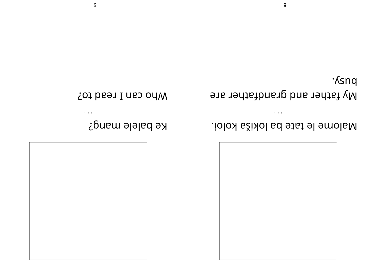

Malome le tate ba lokiša koloi.

 $\bullet$   $\bullet$   $\bullet$ 

·*Ksnq* My father and grandfather are

 $\bullet$   $\bullet$   $\bullet$ 

Who can I read to?

Ke balele mang?